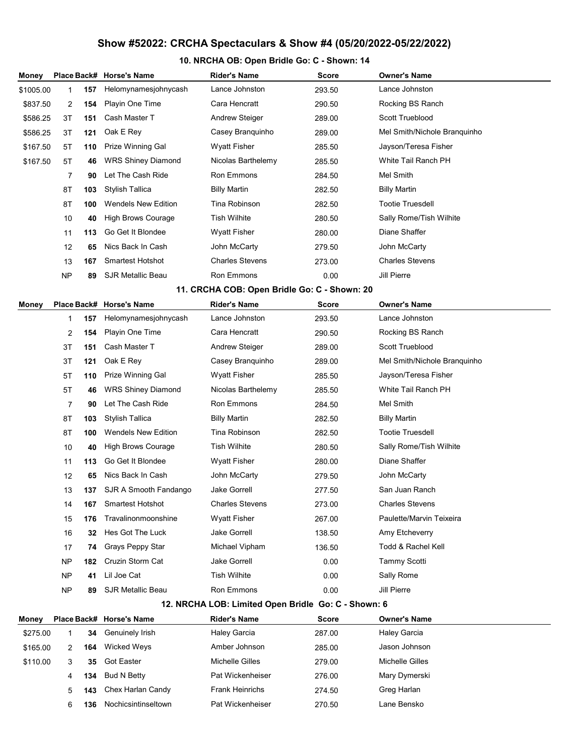## Show #52022: CRCHA Spectaculars & Show #4 (05/20/2022-05/22/2022)

## 10. NRCHA OB: Open Bridle Go: C - Shown: 14

| Money                                               |           |     | Place Back# Horse's Name   | <b>Rider's Name</b>    | Score        | <b>Owner's Name</b>          |  |  |  |  |  |
|-----------------------------------------------------|-----------|-----|----------------------------|------------------------|--------------|------------------------------|--|--|--|--|--|
| \$1005.00                                           | 1         | 157 | Helomynamesjohnycash       | Lance Johnston         | 293.50       | Lance Johnston               |  |  |  |  |  |
| \$837.50                                            | 2         | 154 | Playin One Time            | Cara Hencratt          | 290.50       | Rocking BS Ranch             |  |  |  |  |  |
| \$586.25                                            | 3T        | 151 | Cash Master T              | <b>Andrew Steiger</b>  | 289.00       | Scott Trueblood              |  |  |  |  |  |
| \$586.25                                            | 3T        | 121 | Oak E Rey                  | Casey Branquinho       | 289.00       | Mel Smith/Nichole Branquinho |  |  |  |  |  |
| \$167.50                                            | 5T        | 110 | <b>Prize Winning Gal</b>   | Wyatt Fisher           | 285.50       | Jayson/Teresa Fisher         |  |  |  |  |  |
| \$167.50                                            | 5T        | 46  | <b>WRS Shiney Diamond</b>  | Nicolas Barthelemy     | 285.50       | White Tail Ranch PH          |  |  |  |  |  |
|                                                     | 7         | 90  | Let The Cash Ride          | Ron Emmons             | 284.50       | Mel Smith                    |  |  |  |  |  |
|                                                     | 8T        | 103 | <b>Stylish Tallica</b>     | <b>Billy Martin</b>    | 282.50       | <b>Billy Martin</b>          |  |  |  |  |  |
|                                                     | 8T        | 100 | <b>Wendels New Edition</b> | Tina Robinson          | 282.50       | <b>Tootie Truesdell</b>      |  |  |  |  |  |
|                                                     | 10        | 40  | <b>High Brows Courage</b>  | <b>Tish Wilhite</b>    | 280.50       | Sally Rome/Tish Wilhite      |  |  |  |  |  |
|                                                     | 11        | 113 | Go Get It Blondee          | Wyatt Fisher           | 280.00       | Diane Shaffer                |  |  |  |  |  |
|                                                     | 12        | 65  | Nics Back In Cash          | John McCarty           | 279.50       | John McCarty                 |  |  |  |  |  |
|                                                     | 13        | 167 | <b>Smartest Hotshot</b>    | <b>Charles Stevens</b> | 273.00       | <b>Charles Stevens</b>       |  |  |  |  |  |
|                                                     | <b>NP</b> | 89  | <b>SJR Metallic Beau</b>   | Ron Emmons             | 0.00         | Jill Pierre                  |  |  |  |  |  |
| 11. CRCHA COB: Open Bridle Go: C - Shown: 20        |           |     |                            |                        |              |                              |  |  |  |  |  |
| Money                                               |           |     | Place Back# Horse's Name   | <b>Rider's Name</b>    | Score        | <b>Owner's Name</b>          |  |  |  |  |  |
|                                                     | 1         | 157 | Helomynamesjohnycash       | Lance Johnston         | 293.50       | Lance Johnston               |  |  |  |  |  |
|                                                     | 2         | 154 | Playin One Time            | Cara Hencratt          | 290.50       | Rocking BS Ranch             |  |  |  |  |  |
|                                                     | 3T        | 151 | Cash Master T              | <b>Andrew Steiger</b>  | 289.00       | Scott Trueblood              |  |  |  |  |  |
|                                                     | 3T        | 121 | Oak E Rey                  | Casey Branquinho       | 289.00       | Mel Smith/Nichole Branquinho |  |  |  |  |  |
|                                                     | 5T        | 110 | <b>Prize Winning Gal</b>   | Wyatt Fisher           | 285.50       | Jayson/Teresa Fisher         |  |  |  |  |  |
|                                                     | 5T        | 46  | <b>WRS Shiney Diamond</b>  | Nicolas Barthelemy     | 285.50       | White Tail Ranch PH          |  |  |  |  |  |
|                                                     | 7         | 90  | Let The Cash Ride          | Ron Emmons             | 284.50       | Mel Smith                    |  |  |  |  |  |
|                                                     | 8T        | 103 | Stylish Tallica            | <b>Billy Martin</b>    | 282.50       | <b>Billy Martin</b>          |  |  |  |  |  |
|                                                     | 8T        | 100 | <b>Wendels New Edition</b> | Tina Robinson          | 282.50       | <b>Tootie Truesdell</b>      |  |  |  |  |  |
|                                                     | 10        | 40  | <b>High Brows Courage</b>  | <b>Tish Wilhite</b>    | 280.50       | Sally Rome/Tish Wilhite      |  |  |  |  |  |
|                                                     | 11        | 113 | Go Get It Blondee          | Wyatt Fisher           | 280.00       | Diane Shaffer                |  |  |  |  |  |
|                                                     | 12        | 65  | Nics Back In Cash          | John McCarty           | 279.50       | John McCarty                 |  |  |  |  |  |
|                                                     | 13        | 137 | SJR A Smooth Fandango      | Jake Gorrell           | 277.50       | San Juan Ranch               |  |  |  |  |  |
|                                                     | 14        | 167 | <b>Smartest Hotshot</b>    | <b>Charles Stevens</b> | 273.00       | <b>Charles Stevens</b>       |  |  |  |  |  |
|                                                     | 15        | 176 | Travalinonmoonshine        | <b>Wyatt Fisher</b>    | 267.00       | Paulette/Marvin Teixeira     |  |  |  |  |  |
|                                                     | 16        | 32  | Hes Got The Luck           | Jake Gorrell           | 138.50       | Amy Etcheverry               |  |  |  |  |  |
|                                                     | 17        | 74  | Grays Peppy Star           | Michael Vipham         | 136.50       | Todd & Rachel Kell           |  |  |  |  |  |
|                                                     | <b>NP</b> | 182 | Cruzin Storm Cat           | <b>Jake Gorrell</b>    | 0.00         | <b>Tammy Scotti</b>          |  |  |  |  |  |
|                                                     | <b>NP</b> | 41  | Lil Joe Cat                | <b>Tish Wilhite</b>    | 0.00         | Sally Rome                   |  |  |  |  |  |
|                                                     | <b>NP</b> | 89  | <b>SJR Metallic Beau</b>   | Ron Emmons             | 0.00         | Jill Pierre                  |  |  |  |  |  |
| 12. NRCHA LOB: Limited Open Bridle Go: C - Shown: 6 |           |     |                            |                        |              |                              |  |  |  |  |  |
| Money                                               |           |     | Place Back# Horse's Name   | <b>Rider's Name</b>    | <b>Score</b> | <b>Owner's Name</b>          |  |  |  |  |  |
| \$275.00                                            | 1         | 34  | Genuinely Irish            | <b>Haley Garcia</b>    | 287.00       | <b>Haley Garcia</b>          |  |  |  |  |  |
| \$165.00                                            | 2         | 164 | <b>Wicked Weys</b>         | Amber Johnson          | 285.00       | Jason Johnson                |  |  |  |  |  |
| \$110.00                                            | 3         | 35  | <b>Got Easter</b>          | Michelle Gilles        | 279.00       | Michelle Gilles              |  |  |  |  |  |
|                                                     | 4         | 134 | <b>Bud N Betty</b>         | Pat Wickenheiser       | 276.00       | Mary Dymerski                |  |  |  |  |  |
|                                                     | 5         | 143 | Chex Harlan Candy          | <b>Frank Heinrichs</b> | 274.50       | Greg Harlan                  |  |  |  |  |  |

6 136 Nochicsintinseltown Pat Wickenheiser 270.50 Lane Bensko